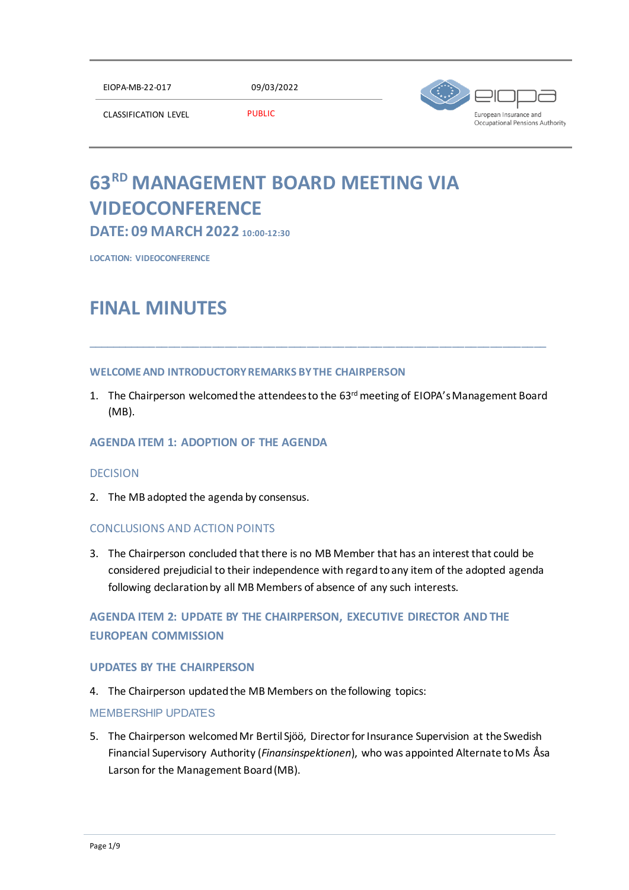EIOPA-MB-22-017 09/03/2022



CLASSIFICATION LEVEL PUBLIC

# **63 RD MANAGEMENT BOARD MEETING VIA VIDEOCONFERENCE**

**DATE: 09 MARCH 2022 10:00-12:30**

**LOCATION: VIDEOCONFERENCE**

## **FINAL MINUTES**

## **WELCOME AND INTRODUCTORY REMARKS BY THE CHAIRPERSON**

1. The Chairperson welcomed the attendees to the 63<sup>rd</sup> meeting of EIOPA's Management Board (MB).

\_\_\_\_\_\_\_\_\_\_\_\_\_\_\_\_\_\_\_\_\_\_\_\_\_\_\_\_\_\_\_\_\_\_\_\_\_\_\_\_\_\_\_\_\_\_\_\_\_\_\_\_\_\_\_\_\_\_\_\_\_\_\_\_\_\_\_\_\_\_\_\_\_

## **AGENDA ITEM 1: ADOPTION OF THE AGENDA**

## **DECISION**

2. The MB adopted the agenda by consensus.

## CONCLUSIONS AND ACTION POINTS

3. The Chairperson concluded that there is no MB Member that has an interest that could be considered prejudicial to their independence with regard to any item of the adopted agenda following declaration by all MB Members of absence of any such interests.

## **AGENDA ITEM 2: UPDATE BY THE CHAIRPERSON, EXECUTIVE DIRECTOR AND THE EUROPEAN COMMISSION**

## **UPDATES BY THE CHAIRPERSON**

4. The Chairperson updated the MB Members on the following topics:

## MEMBERSHIP UPDATES

5. The Chairperson welcomed Mr Bertil Sjöö, Director for Insurance Supervision at the Swedish Financial Supervisory Authority (*Finansinspektionen*), who was appointed Alternate to Ms Åsa Larson for the Management Board (MB).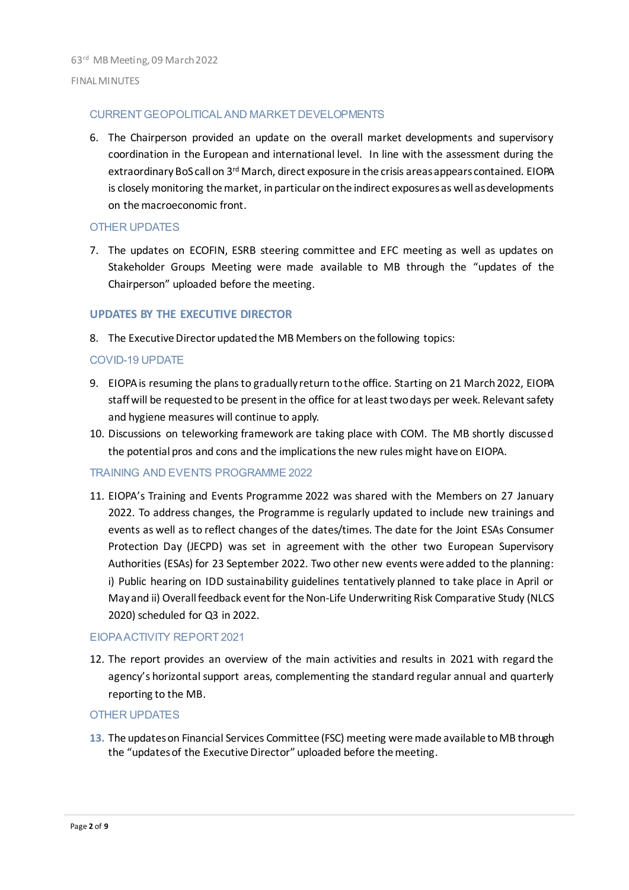#### CURRENT GEOPOLITICAL AND MARKET DEVELOPMENTS

6. The Chairperson provided an update on the overall market developments and supervisory coordination in the European and international level. In line with the assessment during the extraordinary BoS call on 3rd March, direct exposure in the crisis areas appears contained. EIOPA is closely monitoring the market, in particular on the indirect exposuresas well as developments on the macroeconomic front.

#### OTHER UPDATES

7. The updates on ECOFIN, ESRB steering committee and EFC meeting as well as updates on Stakeholder Groups Meeting were made available to MB through the "updates of the Chairperson" uploaded before the meeting.

#### **UPDATES BY THE EXECUTIVE DIRECTOR**

8. The Executive Director updated the MB Members on the following topics:

#### COVID-19 UPDATE

- 9. EIOPA is resuming the plans to gradually return to the office. Starting on 21 March 2022, EIOPA staff will be requested to be present in the office for at least two days per week. Relevant safety and hygiene measures will continue to apply.
- 10. Discussions on teleworking framework are taking place with COM. The MB shortly discussed the potential pros and cons and the implications the new rules might have on EIOPA.

#### TRAINING AND EVENTS PROGRAMME 2022

11. EIOPA's Training and Events Programme 2022 was shared with the Members on 27 January 2022. To address changes, the Programme is regularly updated to include new trainings and events as well as to reflect changes of the dates/times. The date for the Joint ESAs Consumer Protection Day (JECPD) was set in agreement with the other two European Supervisory Authorities (ESAs) for 23 September 2022. Two other new events were added to the planning: i) Public hearing on IDD sustainability guidelines tentatively planned to take place in April or May and ii) Overall feedback event for the Non-Life Underwriting Risk Comparative Study (NLCS 2020) scheduled for Q3 in 2022.

#### EIOPA ACTIVITY REPORT 2021

12. The report provides an overview of the main activities and results in 2021 with regard the agency's horizontal support areas, complementing the standard regular annual and quarterly reporting to the MB.

#### OTHER UPDATES

**13.** The updates on Financial Services Committee (FSC) meeting weremade available to MB through the "updates of the Executive Director" uploaded before the meeting.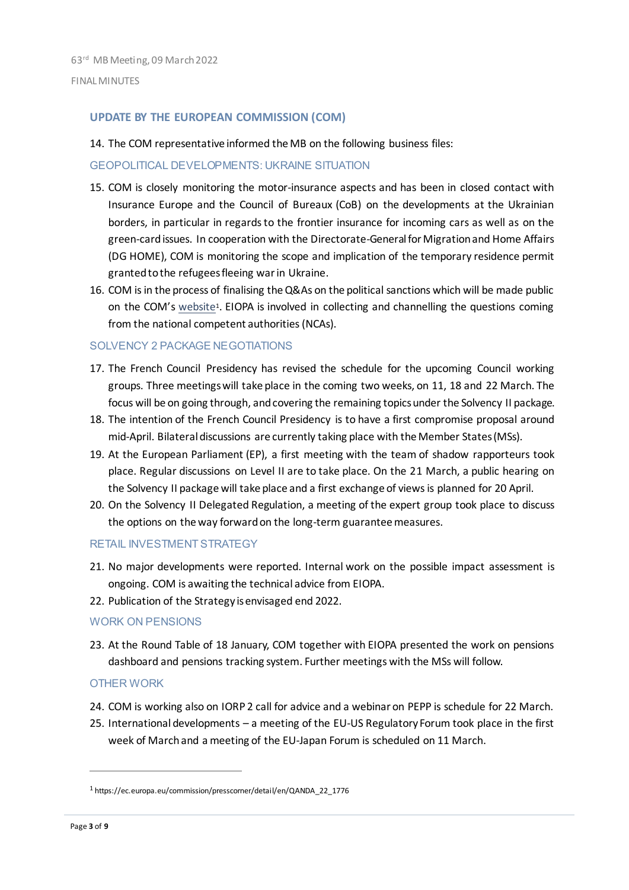#### **UPDATE BY THE EUROPEAN COMMISSION (COM)**

14. The COM representative informed the MB on the following business files:

#### GEOPOLITICAL DEVELOPMENTS: UKRAINE SITUATION

- 15. COM is closely monitoring the motor-insurance aspects and has been in closed contact with Insurance Europe and the Council of Bureaux (CoB) on the developments at the Ukrainian borders, in particular in regards to the frontier insurance for incoming cars as well as on the green-card issues. In cooperation with the Directorate-General for Migration and Home Affairs (DG HOME), COM is monitoring the scope and implication of the temporary residence permit granted to the refugees fleeing war in Ukraine.
- 16. COM is in the process of finalising the Q&As on the political sanctions which will be made public on the COM's [website](https://ec.europa.eu/commission/presscorner/detail/en/QANDA_22_1776)<sup>1</sup>. EIOPA is involved in collecting and channelling the questions coming from the national competent authorities (NCAs).

#### SOLVENCY 2 PACKAGE NEGOTIATIONS

- 17. The French Council Presidency has revised the schedule for the upcoming Council working groups. Three meetings will take place in the coming two weeks, on 11, 18 and 22 March. The focus will be on going through, and covering the remaining topics under the Solvency II package.
- 18. The intention of the French Council Presidency is to have a first compromise proposal around mid-April. Bilateral discussions are currently taking place with the Member States (MSs).
- 19. At the European Parliament (EP), a first meeting with the team of shadow rapporteurs took place. Regular discussions on Level II are to take place. On the 21 March, a public hearing on the Solvency II package will take place and a first exchange of views is planned for 20 April.
- 20. On the Solvency II Delegated Regulation, a meeting of the expert group took place to discuss the options on the way forward on the long-term guarantee measures.

#### RETAIL INVESTMENT STRATEGY

- 21. No major developments were reported. Internal work on the possible impact assessment is ongoing. COM is awaiting the technical advice from EIOPA.
- 22. Publication of the Strategy is envisaged end 2022.

#### WORK ON PENSIONS

23. At the Round Table of 18 January, COM together with EIOPA presented the work on pensions dashboard and pensions tracking system. Further meetings with the MSs will follow.

#### OTHER WORK

- 24. COM is working also on IORP 2 call for advice and a webinar on PEPP is schedule for 22 March.
- 25. International developments a meeting of the EU-US Regulatory Forum took place in the first week of March and a meeting of the EU-Japan Forum is scheduled on 11 March.

 $\overline{a}$ 

<sup>1</sup> https://ec.europa.eu/commission/presscorner/detail/en/QANDA\_22\_1776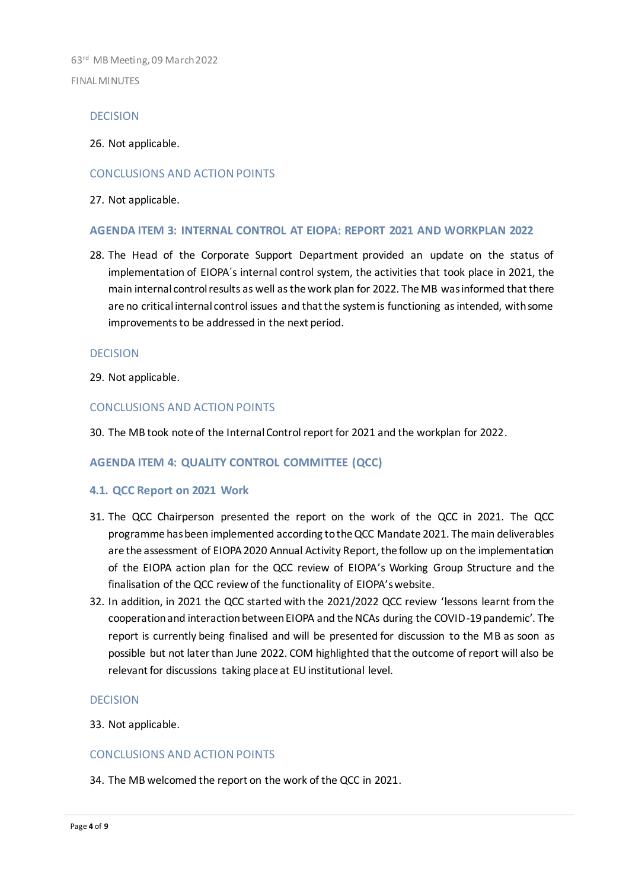#### DECISION

26. Not applicable.

#### CONCLUSIONS AND ACTION POINTS

27. Not applicable.

#### **AGENDA ITEM 3: INTERNAL CONTROL AT EIOPA: REPORT 2021 AND WORKPLAN 2022**

28. The Head of the Corporate Support Department provided an update on the status of implementation of EIOPA´s internal control system, the activities that took place in 2021, the main internal control results as well as the work plan for 2022. The MB wasinformed that there are no critical internal control issues and that the system is functioning as intended, with some improvements to be addressed in the next period.

#### **DECISION**

29. Not applicable.

#### CONCLUSIONS AND ACTION POINTS

30. The MB took note of the Internal Control report for 2021 and the workplan for 2022.

#### **AGENDA ITEM 4: QUALITY CONTROL COMMITTEE (QCC)**

#### **4.1. QCC Report on 2021 Work**

- 31. The QCC Chairperson presented the report on the work of the QCC in 2021. The QCC programme has been implemented according to the QCC Mandate 2021. The main deliverables are the assessment of EIOPA 2020 Annual Activity Report, the follow up on the implementation of the EIOPA action plan for the QCC review of EIOPA's Working Group Structure and the finalisation of the QCC review of the functionality of EIOPA's website.
- 32. In addition, in 2021 the QCC started with the 2021/2022 QCC review 'lessons learnt from the cooperation and interaction between EIOPA and the NCAs during the COVID-19 pandemic'. The report is currently being finalised and will be presented for discussion to the MB as soon as possible but not later than June 2022. COM highlighted that the outcome of report will also be relevant for discussions taking place at EU institutional level.

#### DECISION

33. Not applicable.

#### CONCLUSIONS AND ACTION POINTS

34. The MB welcomed the report on the work of the QCC in 2021.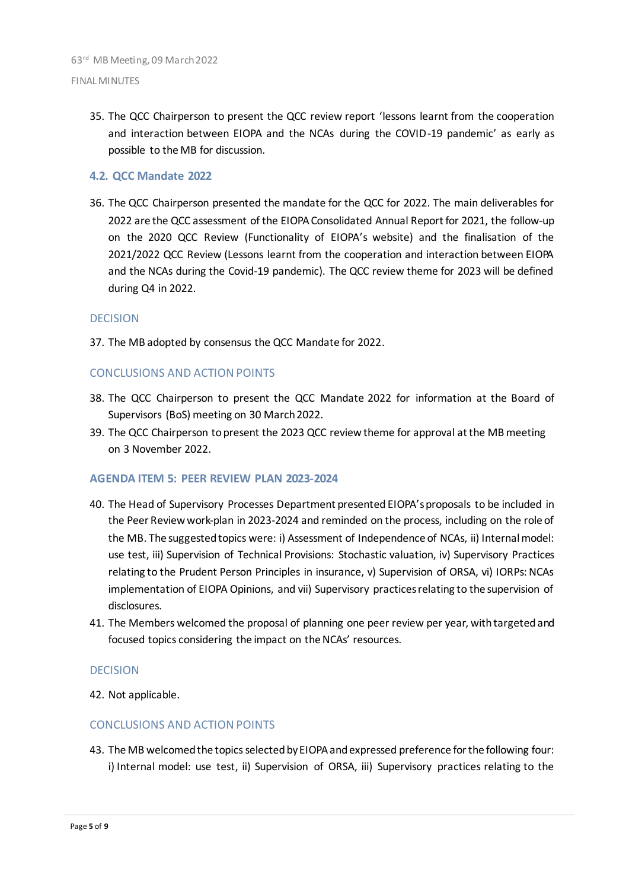35. The QCC Chairperson to present the QCC review report 'lessons learnt from the cooperation and interaction between EIOPA and the NCAs during the COVID-19 pandemic' as early as possible to the MB for discussion.

#### **4.2. QCC Mandate 2022**

36. The QCC Chairperson presented the mandate for the QCC for 2022. The main deliverables for 2022 are the QCC assessment of the EIOPA Consolidated Annual Report for 2021, the follow-up on the 2020 QCC Review (Functionality of EIOPA's website) and the finalisation of the 2021/2022 QCC Review (Lessons learnt from the cooperation and interaction between EIOPA and the NCAs during the Covid-19 pandemic). The QCC review theme for 2023 will be defined during Q4 in 2022.

#### DECISION

37. The MB adopted by consensus the QCC Mandate for 2022.

#### CONCLUSIONS AND ACTION POINTS

- 38. The QCC Chairperson to present the QCC Mandate 2022 for information at the Board of Supervisors (BoS) meeting on 30 March 2022.
- 39. The QCC Chairperson to present the 2023 QCC review theme for approval at the MB meeting on 3 November 2022.

#### **AGENDA ITEM 5: PEER REVIEW PLAN 2023-2024**

- 40. The Head of Supervisory Processes Department presented EIOPA'sproposals to be included in the Peer Review work-plan in 2023-2024 and reminded on the process, including on the role of the MB. The suggested topics were: i) Assessment of Independence of NCAs, ii) Internal model: use test, iii) Supervision of Technical Provisions: Stochastic valuation, iv) Supervisory Practices relating to the Prudent Person Principles in insurance, v) Supervision of ORSA, vi) IORPs: NCAs implementation of EIOPA Opinions, and vii) Supervisory practices relating to the supervision of disclosures.
- 41. The Members welcomed the proposal of planning one peer review per year, with targeted and focused topics considering the impact on the NCAs' resources.

#### DECISION

42. Not applicable.

#### CONCLUSIONS AND ACTION POINTS

43. The MB welcomed the topics selected by EIOPA and expressed preference for the following four: i) Internal model: use test, ii) Supervision of ORSA, iii) Supervisory practices relating to the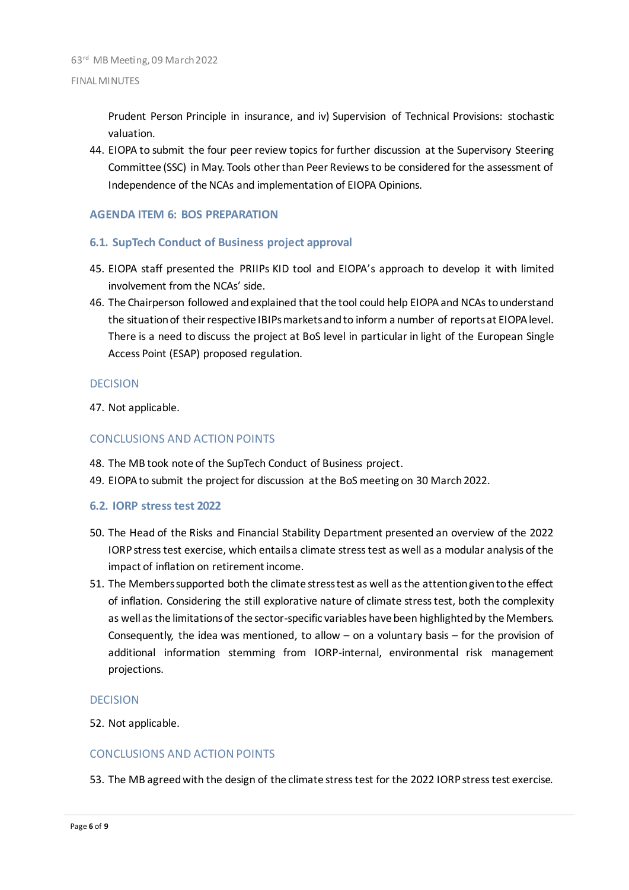Prudent Person Principle in insurance, and iv) Supervision of Technical Provisions: stochastic valuation.

44. EIOPA to submit the four peer review topics for further discussion at the Supervisory Steering Committee (SSC) in May. Tools other than Peer Reviews to be considered for the assessment of Independence of the NCAs and implementation of EIOPA Opinions.

### **AGENDA ITEM 6: BOS PREPARATION**

#### **6.1. SupTech Conduct of Business project approval**

- 45. EIOPA staff presented the PRIIPs KID tool and EIOPA's approach to develop it with limited involvement from the NCAs' side.
- 46. The Chairperson followed and explained that the tool could help EIOPA and NCAs to understand the situation of their respective IBIPs markets and to inform a number of reports at EIOPA level. There is a need to discuss the project at BoS level in particular in light of the European Single Access Point (ESAP) proposed regulation.

#### **DECISION**

47. Not applicable.

#### CONCLUSIONS AND ACTION POINTS

- 48. The MB took note of the SupTech Conduct of Business project.
- 49. EIOPA to submit the project for discussion at the BoS meeting on 30 March 2022.

#### **6.2. IORP stress test 2022**

- 50. The Head of the Risks and Financial Stability Department presented an overview of the 2022 IORP stress test exercise, which entails a climate stress test as well as a modular analysis of the impact of inflation on retirement income.
- 51. The Members supported both the climate stress test as well as the attention given to the effect of inflation. Considering the still explorative nature of climate stress test, both the complexity as well as the limitations of the sector-specific variables have been highlighted by the Members. Consequently, the idea was mentioned, to allow – on a voluntary basis – for the provision of additional information stemming from IORP-internal, environmental risk management projections.

#### DECISION

52. Not applicable.

#### CONCLUSIONS AND ACTION POINTS

53. The MB agreed with the design of the climate stress test for the 2022 IORP stress test exercise.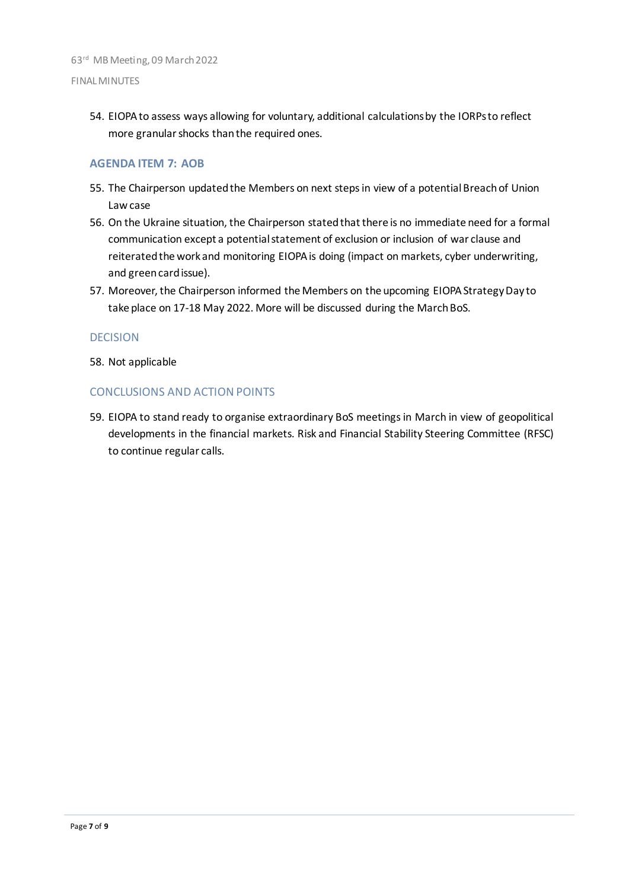#### FINAL MINUTES

54. EIOPA to assess ways allowing for voluntary, additional calculations by the IORPs to reflect more granular shocks than the required ones.

#### **AGENDA ITEM 7: AOB**

- 55. The Chairperson updated the Members on next steps in view of a potential Breach of Union Law case
- 56. On the Ukraine situation, the Chairperson stated that there is no immediate need for a formal communication except a potential statement of exclusion or inclusion of war clause and reiterated the work and monitoring EIOPA is doing (impact on markets, cyber underwriting, and greencard issue).
- 57. Moreover, the Chairperson informed the Members on the upcoming EIOPA Strategy Day to take place on 17-18 May 2022. More will be discussed during the March BoS.

#### DECISION

58. Not applicable

#### CONCLUSIONS AND ACTION POINTS

59. EIOPA to stand ready to organise extraordinary BoS meetings in March in view of geopolitical developments in the financial markets. Risk and Financial Stability Steering Committee (RFSC) to continue regular calls.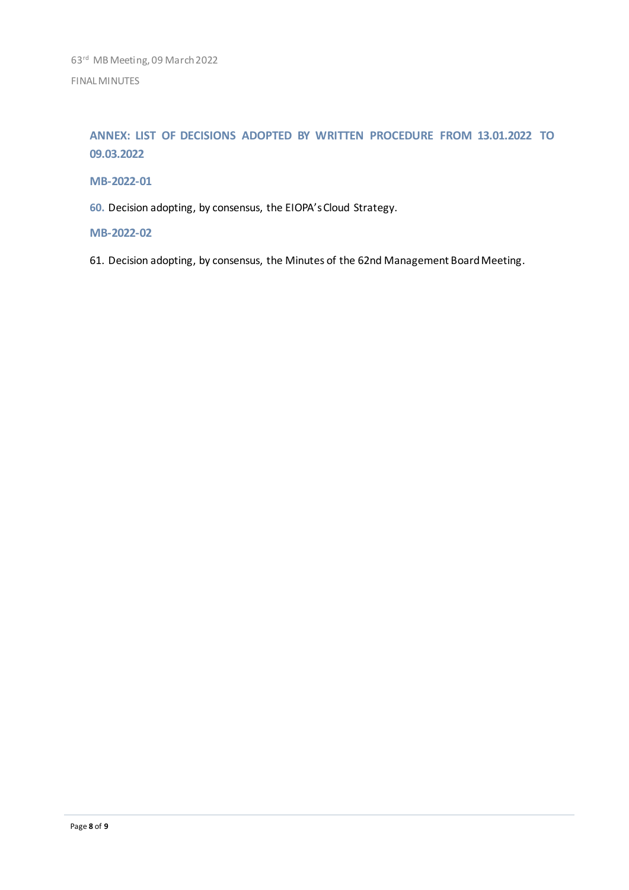**ANNEX: LIST OF DECISIONS ADOPTED BY WRITTEN PROCEDURE FROM 13.01.2022 TO 09.03.2022**

### **MB-2022-01**

**60.** Decision adopting, by consensus, the EIOPA's Cloud Strategy.

#### **MB-2022-02**

61. Decision adopting, by consensus, the Minutes of the 62nd Management Board Meeting.